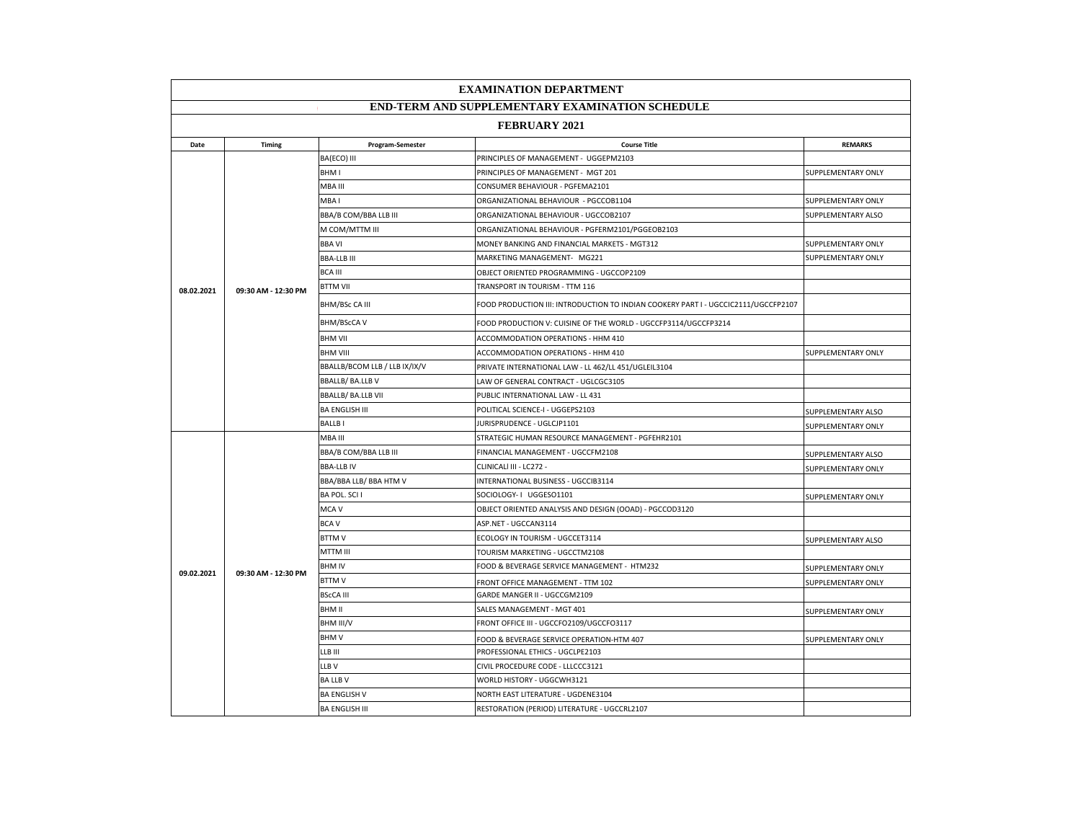| <b>EXAMINATION DEPARTMENT</b>                          |                     |                               |                                                                                    |                    |  |
|--------------------------------------------------------|---------------------|-------------------------------|------------------------------------------------------------------------------------|--------------------|--|
| <b>END-TERM AND SUPPLEMENTARY EXAMINATION SCHEDULE</b> |                     |                               |                                                                                    |                    |  |
| <b>FEBRUARY 2021</b>                                   |                     |                               |                                                                                    |                    |  |
| Date                                                   | Timing              | Program-Semester              | <b>Course Title</b>                                                                | <b>REMARKS</b>     |  |
|                                                        |                     | BA(ECO) III                   | PRINCIPLES OF MANAGEMENT - UGGEPM2103                                              |                    |  |
|                                                        |                     | BHM I                         | PRINCIPLES OF MANAGEMENT - MGT 201                                                 | SUPPLEMENTARY ONLY |  |
|                                                        |                     | MBA III                       | CONSUMER BEHAVIOUR - PGFEMA2101                                                    |                    |  |
|                                                        |                     | MBA I                         | ORGANIZATIONAL BEHAVIOUR - PGCCOB1104                                              | SUPPLEMENTARY ONLY |  |
|                                                        |                     | BBA/B COM/BBA LLB III         | ORGANIZATIONAL BEHAVIOUR - UGCCOB2107                                              | SUPPLEMENTARY ALSO |  |
|                                                        |                     | M COM/MTTM III                | ORGANIZATIONAL BEHAVIOUR - PGFERM2101/PGGEOB2103                                   |                    |  |
|                                                        |                     | <b>BBA VI</b>                 | MONEY BANKING AND FINANCIAL MARKETS - MGT312                                       | SUPPLEMENTARY ONLY |  |
|                                                        |                     | <b>BBA-LLB III</b>            | MARKETING MANAGEMENT- MG221                                                        | SUPPLEMENTARY ONLY |  |
|                                                        |                     | <b>BCA III</b>                | OBJECT ORIENTED PROGRAMMING - UGCCOP2109                                           |                    |  |
| 08.02.2021                                             | 09:30 AM - 12:30 PM | <b>BTTM VII</b>               | TRANSPORT IN TOURISM - TTM 116                                                     |                    |  |
|                                                        |                     | BHM/BSc CA III                | FOOD PRODUCTION III: INTRODUCTION TO INDIAN COOKERY PART I - UGCCIC2111/UGCCFP2107 |                    |  |
|                                                        |                     | <b>BHM/BScCAV</b>             | FOOD PRODUCTION V: CUISINE OF THE WORLD - UGCCFP3114/UGCCFP3214                    |                    |  |
|                                                        |                     | <b>BHM VII</b>                | ACCOMMODATION OPERATIONS - HHM 410                                                 |                    |  |
|                                                        |                     | <b>BHM VIII</b>               | ACCOMMODATION OPERATIONS - HHM 410                                                 | SUPPLEMENTARY ONLY |  |
|                                                        |                     | BBALLB/BCOM LLB / LLB IX/IX/V | PRIVATE INTERNATIONAL LAW - LL 462/LL 451/UGLEIL3104                               |                    |  |
|                                                        |                     | <b>BBALLB/ BA.LLB V</b>       | LAW OF GENERAL CONTRACT - UGLCGC3105                                               |                    |  |
|                                                        |                     | <b>BBALLB/ BA.LLB VII</b>     | PUBLIC INTERNATIONAL LAW - LL 431                                                  |                    |  |
|                                                        |                     | <b>BA ENGLISH III</b>         | POLITICAL SCIENCE-I - UGGEPS2103                                                   | SUPPLEMENTARY ALSO |  |
|                                                        |                     | <b>BALLBI</b>                 | JURISPRUDENCE - UGLCJP1101                                                         | SUPPLEMENTARY ONLY |  |
|                                                        | 09:30 AM - 12:30 PM | MBA III                       | STRATEGIC HUMAN RESOURCE MANAGEMENT - PGFEHR2101                                   |                    |  |
|                                                        |                     | BBA/B COM/BBA LLB III         | FINANCIAL MANAGEMENT - UGCCFM2108                                                  | SUPPLEMENTARY ALSO |  |
|                                                        |                     | <b>BBA-LLBIV</b>              | CLINICALI III - LC272 -                                                            | SUPPLEMENTARY ONLY |  |
|                                                        |                     | BBA/BBA LLB/ BBA HTM V        | INTERNATIONAL BUSINESS - UGCCIB3114                                                |                    |  |
|                                                        |                     | BA POL. SCI I                 | SOCIOLOGY- I UGGESO1101                                                            | SUPPLEMENTARY ONLY |  |
|                                                        |                     | MCA V                         | OBJECT ORIENTED ANALYSIS AND DESIGN (OOAD) - PGCCOD3120                            |                    |  |
|                                                        |                     | <b>BCAV</b>                   | ASP.NET - UGCCAN3114                                                               |                    |  |
|                                                        |                     | <b>BTTMV</b>                  | ECOLOGY IN TOURISM - UGCCET3114                                                    | SUPPLEMENTARY ALSO |  |
|                                                        |                     | MTTM III                      | TOURISM MARKETING - UGCCTM2108                                                     |                    |  |
| 09.02.2021                                             |                     | <b>BHM IV</b>                 | FOOD & BEVERAGE SERVICE MANAGEMENT - HTM232                                        | SUPPLEMENTARY ONLY |  |
|                                                        |                     | <b>BTTMV</b>                  | FRONT OFFICE MANAGEMENT - TTM 102                                                  | SUPPLEMENTARY ONLY |  |
|                                                        |                     | <b>BScCA III</b>              | GARDE MANGER II - UGCCGM2109                                                       |                    |  |
|                                                        |                     | <b>BHM II</b>                 | SALES MANAGEMENT - MGT 401                                                         | SUPPLEMENTARY ONLY |  |
|                                                        |                     | BHM III/V                     | FRONT OFFICE III - UGCCFO2109/UGCCFO3117                                           |                    |  |
|                                                        |                     | <b>BHMV</b>                   | FOOD & BEVERAGE SERVICE OPERATION-HTM 407                                          | SUPPLEMENTARY ONLY |  |
|                                                        |                     | LLB III                       | PROFESSIONAL ETHICS - UGCLPE2103                                                   |                    |  |
|                                                        |                     | LLB V                         | CIVIL PROCEDURE CODE - LLLCCC3121                                                  |                    |  |
|                                                        |                     | <b>BA LLB V</b>               | WORLD HISTORY - UGGCWH3121                                                         |                    |  |
|                                                        |                     | <b>BA ENGLISH V</b>           | NORTH EAST LITERATURE - UGDENE3104                                                 |                    |  |
|                                                        |                     | <b>BA ENGLISH III</b>         | RESTORATION (PERIOD) LITERATURE - UGCCRL2107                                       |                    |  |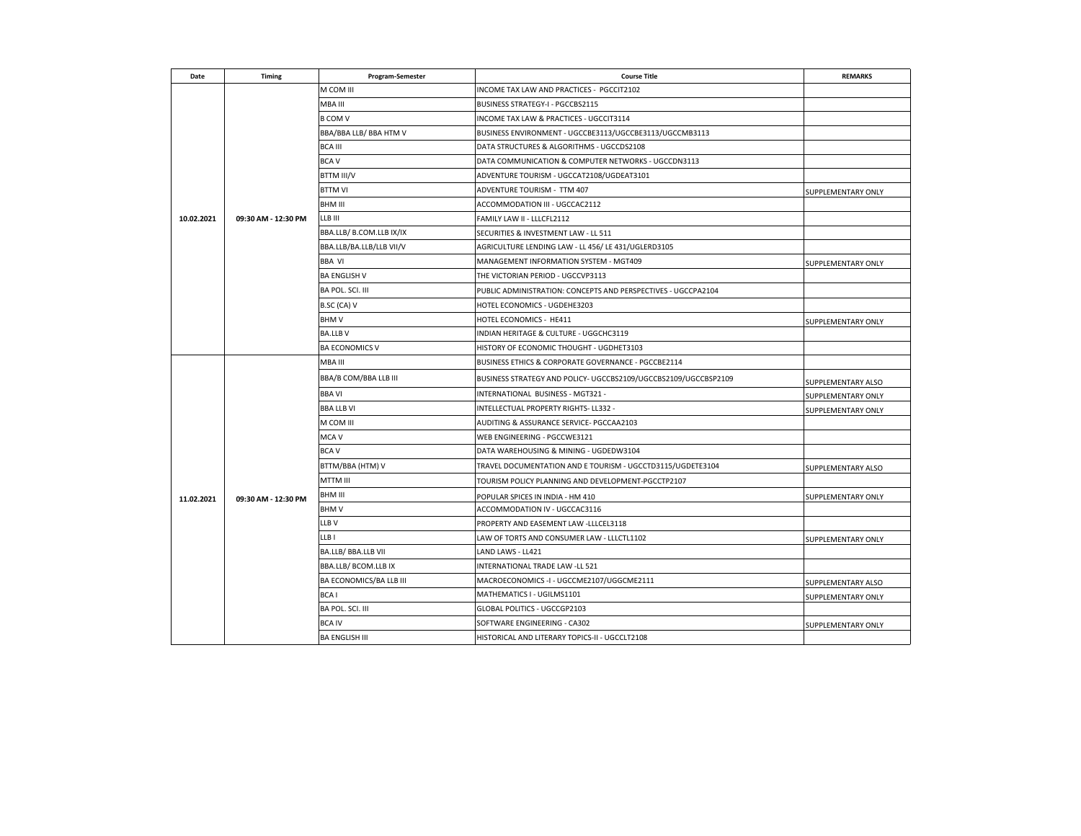| Date       | <b>Timing</b>       | Program-Semester         | <b>Course Title</b>                                             | <b>REMARKS</b>     |
|------------|---------------------|--------------------------|-----------------------------------------------------------------|--------------------|
|            |                     | M COM III                | INCOME TAX LAW AND PRACTICES - PGCCIT2102                       |                    |
|            |                     | MBA III                  | BUSINESS STRATEGY-I - PGCCBS2115                                |                    |
|            |                     | <b>B COM V</b>           | INCOME TAX LAW & PRACTICES - UGCCIT3114                         |                    |
|            |                     | BBA/BBA LLB/ BBA HTM V   | BUSINESS ENVIRONMENT - UGCCBE3113/UGCCBE3113/UGCCMB3113         |                    |
|            |                     | <b>BCA III</b>           | DATA STRUCTURES & ALGORITHMS - UGCCDS2108                       |                    |
|            |                     | <b>BCAV</b>              | DATA COMMUNICATION & COMPUTER NETWORKS - UGCCDN3113             |                    |
|            |                     | BTTM III/V               | ADVENTURE TOURISM - UGCCAT2108/UGDEAT3101                       |                    |
|            |                     | <b>BTTM VI</b>           | ADVENTURE TOURISM - TTM 407                                     | SUPPLEMENTARY ONLY |
|            |                     | <b>BHM III</b>           | ACCOMMODATION III - UGCCAC2112                                  |                    |
| 10.02.2021 | 09:30 AM - 12:30 PM | LLB III                  | FAMILY LAW II - LLLCFL2112                                      |                    |
|            |                     | BBA.LLB/ B.COM.LLB IX/IX | SECURITIES & INVESTMENT LAW - LL 511                            |                    |
|            |                     | BBA.LLB/BA.LLB/LLB VII/V | AGRICULTURE LENDING LAW - LL 456/LE 431/UGLERD3105              |                    |
|            |                     | <b>BBA VI</b>            | MANAGEMENT INFORMATION SYSTEM - MGT409                          | SUPPLEMENTARY ONLY |
|            |                     | <b>BA ENGLISH V</b>      | THE VICTORIAN PERIOD - UGCCVP3113                               |                    |
|            |                     | BA POL. SCI. III         | PUBLIC ADMINISTRATION: CONCEPTS AND PERSPECTIVES - UGCCPA2104   |                    |
|            |                     | B.SC (CA) V              | HOTEL ECONOMICS - UGDEHE3203                                    |                    |
|            |                     | <b>BHMV</b>              | HOTEL ECONOMICS - HE411                                         | SUPPLEMENTARY ONLY |
|            |                     | <b>BA.LLBV</b>           | INDIAN HERITAGE & CULTURE - UGGCHC3119                          |                    |
|            |                     | <b>BA ECONOMICS V</b>    | HISTORY OF ECONOMIC THOUGHT - UGDHET3103                        |                    |
|            | 09:30 AM - 12:30 PM | MBA III                  | BUSINESS ETHICS & CORPORATE GOVERNANCE - PGCCBE2114             |                    |
|            |                     | BBA/B COM/BBA LLB III    | BUSINESS STRATEGY AND POLICY- UGCCBS2109/UGCCBS2109/UGCCBSP2109 | SUPPLEMENTARY ALSO |
|            |                     | <b>BBA VI</b>            | INTERNATIONAL BUSINESS - MGT321 -                               | SUPPLEMENTARY ONLY |
|            |                     | <b>BBA LLB VI</b>        | INTELLECTUAL PROPERTY RIGHTS- LL332 -                           | SUPPLEMENTARY ONLY |
|            |                     | M COM III                | AUDITING & ASSURANCE SERVICE- PGCCAA2103                        |                    |
|            |                     | MCA V                    | WEB ENGINEERING - PGCCWE3121                                    |                    |
|            |                     | <b>BCAV</b>              | DATA WAREHOUSING & MINING - UGDEDW3104                          |                    |
|            |                     | BTTM/BBA (HTM) V         | TRAVEL DOCUMENTATION AND E TOURISM - UGCCTD3115/UGDETE3104      | SUPPLEMENTARY ALSO |
|            |                     | MTTM III                 | TOURISM POLICY PLANNING AND DEVELOPMENT-PGCCTP2107              |                    |
| 11.02.2021 |                     | BHM III                  | POPULAR SPICES IN INDIA - HM 410                                | SUPPLEMENTARY ONLY |
|            |                     | <b>BHMV</b>              | ACCOMMODATION IV - UGCCAC3116                                   |                    |
|            |                     | LLB V                    | PROPERTY AND EASEMENT LAW -LLLCEL3118                           |                    |
|            |                     | LLB I                    | LAW OF TORTS AND CONSUMER LAW - LLLCTL1102                      | SUPPLEMENTARY ONLY |
|            |                     | BA.LLB/ BBA.LLB VII      | LAND LAWS - LL421                                               |                    |
|            |                     | BBA.LLB/ BCOM.LLB IX     | INTERNATIONAL TRADE LAW -LL 521                                 |                    |
|            |                     | BA ECONOMICS/BA LLB III  | MACROECONOMICS -I - UGCCME2107/UGGCME2111                       | SUPPLEMENTARY ALSO |
|            |                     | BCA <sub>1</sub>         | MATHEMATICS I - UGILMS1101                                      | SUPPLEMENTARY ONLY |
|            |                     | BA POL. SCI. III         | GLOBAL POLITICS - UGCCGP2103                                    |                    |
|            |                     | <b>BCA IV</b>            | SOFTWARE ENGINEERING - CA302                                    | SUPPLEMENTARY ONLY |
|            |                     | <b>BA ENGLISH III</b>    | HISTORICAL AND LITERARY TOPICS-II - UGCCLT2108                  |                    |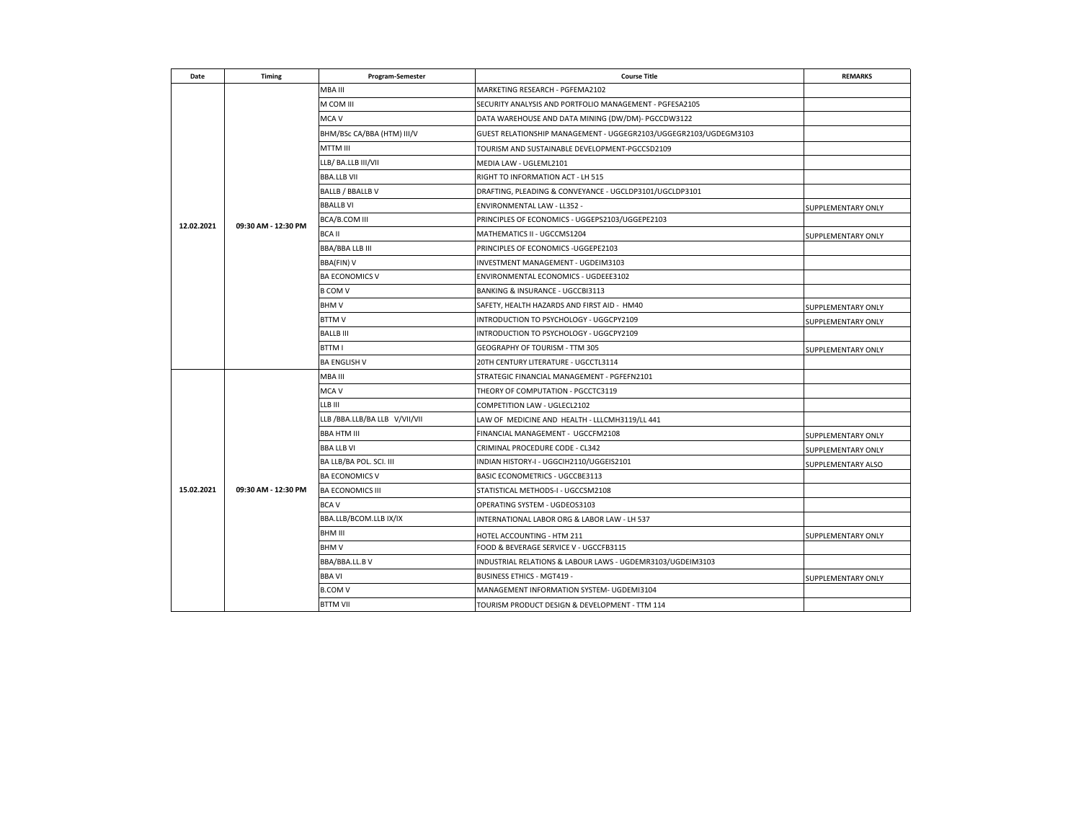| Date       | <b>Timing</b>       | Program-Semester              | <b>Course Title</b>                                              | <b>REMARKS</b>            |
|------------|---------------------|-------------------------------|------------------------------------------------------------------|---------------------------|
|            | 09:30 AM - 12:30 PM | MBA III                       | MARKETING RESEARCH - PGFEMA2102                                  |                           |
|            |                     | M COM III                     | SECURITY ANALYSIS AND PORTFOLIO MANAGEMENT - PGFESA2105          |                           |
|            |                     | MCA V                         | DATA WAREHOUSE AND DATA MINING (DW/DM)- PGCCDW3122               |                           |
|            |                     | BHM/BSc CA/BBA (HTM) III/V    | GUEST RELATIONSHIP MANAGEMENT - UGGEGR2103/UGGEGR2103/UGDEGM3103 |                           |
|            |                     | MTTM III                      | TOURISM AND SUSTAINABLE DEVELOPMENT-PGCCSD2109                   |                           |
|            |                     | LLB/ BA.LLB III/VII           | MEDIA LAW - UGLEML2101                                           |                           |
|            |                     | <b>BBA.LLB VII</b>            | RIGHT TO INFORMATION ACT - LH 515                                |                           |
|            |                     | BALLB / BBALLB V              | DRAFTING, PLEADING & CONVEYANCE - UGCLDP3101/UGCLDP3101          |                           |
|            |                     | <b>BBALLB VI</b>              | ENVIRONMENTAL LAW - LL352 -                                      | SUPPLEMENTARY ONLY        |
| 12.02.2021 |                     | <b>BCA/B.COM III</b>          | PRINCIPLES OF ECONOMICS - UGGEPS2103/UGGEPE2103                  |                           |
|            |                     | <b>BCAII</b>                  | MATHEMATICS II - UGCCMS1204                                      | SUPPLEMENTARY ONLY        |
|            |                     | BBA/BBA LLB III               | PRINCIPLES OF ECONOMICS - UGGEPE2103                             |                           |
|            |                     | BBA(FIN) V                    | INVESTMENT MANAGEMENT - UGDEIM3103                               |                           |
|            |                     | <b>BA ECONOMICS V</b>         | ENVIRONMENTAL ECONOMICS - UGDEEE3102                             |                           |
|            |                     | <b>B COM V</b>                | BANKING & INSURANCE - UGCCBI3113                                 |                           |
|            |                     | <b>BHMV</b>                   | SAFETY, HEALTH HAZARDS AND FIRST AID - HM40                      | <b>SUPPLEMENTARY ONLY</b> |
|            |                     | <b>BTTMV</b>                  | INTRODUCTION TO PSYCHOLOGY - UGGCPY2109                          | SUPPLEMENTARY ONLY        |
|            |                     | <b>BALLB III</b>              | INTRODUCTION TO PSYCHOLOGY - UGGCPY2109                          |                           |
|            |                     | BTTM I                        | GEOGRAPHY OF TOURISM - TTM 305                                   | SUPPLEMENTARY ONLY        |
|            |                     | <b>BA ENGLISH V</b>           | 20TH CENTURY LITERATURE - UGCCTL3114                             |                           |
|            |                     | MBA III                       | STRATEGIC FINANCIAL MANAGEMENT - PGFEFN2101                      |                           |
|            | 09:30 AM - 12:30 PM | MCA V                         | THEORY OF COMPUTATION - PGCCTC3119                               |                           |
|            |                     | LLB III                       | COMPETITION LAW - UGLECL2102                                     |                           |
|            |                     | LLB /BBA.LLB/BA LLB V/VII/VII | LAW OF MEDICINE AND HEALTH - LLLCMH3119/LL 441                   |                           |
|            |                     | <b>BBA HTM III</b>            | FINANCIAL MANAGEMENT - UGCCFM2108                                | <b>SUPPLEMENTARY ONLY</b> |
|            |                     | <b>BBA LLB VI</b>             | CRIMINAL PROCEDURE CODE - CL342                                  | SUPPLEMENTARY ONLY        |
|            |                     | BA LLB/BA POL. SCI. III       | INDIAN HISTORY-I - UGGCIH2110/UGGEIS2101                         | SUPPLEMENTARY ALSO        |
|            |                     | <b>BA ECONOMICS V</b>         | BASIC ECONOMETRICS - UGCCBE3113                                  |                           |
| 15.02.2021 |                     | <b>BA ECONOMICS III</b>       | STATISTICAL METHODS-I - UGCCSM2108                               |                           |
|            |                     | BCA V                         | OPERATING SYSTEM - UGDEOS3103                                    |                           |
|            |                     | BBA.LLB/BCOM.LLB IX/IX        | INTERNATIONAL LABOR ORG & LABOR LAW - LH 537                     |                           |
|            |                     | BHM III                       | HOTEL ACCOUNTING - HTM 211                                       | SUPPLEMENTARY ONLY        |
|            |                     | <b>BHMV</b>                   | FOOD & BEVERAGE SERVICE V - UGCCFB3115                           |                           |
|            |                     | BBA/BBA.LL.B V                | INDUSTRIAL RELATIONS & LABOUR LAWS - UGDEMR3103/UGDEIM3103       |                           |
|            |                     | <b>BBA VI</b>                 | BUSINESS ETHICS - MGT419 -                                       | SUPPLEMENTARY ONLY        |
|            |                     | <b>B.COM V</b>                | MANAGEMENT INFORMATION SYSTEM- UGDEMI3104                        |                           |
|            |                     | <b>BTTM VII</b>               | TOURISM PRODUCT DESIGN & DEVELOPMENT - TTM 114                   |                           |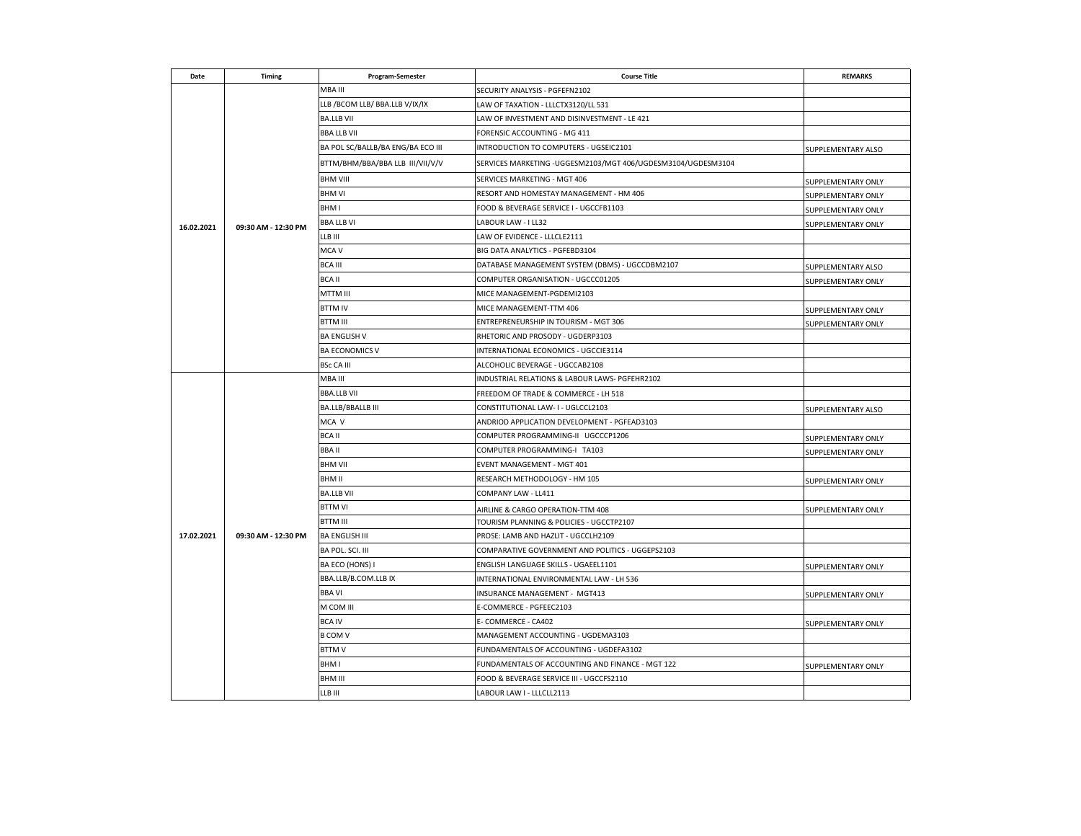| Date       | Timing              | Program-Semester                  | <b>Course Title</b>                                           | <b>REMARKS</b>            |
|------------|---------------------|-----------------------------------|---------------------------------------------------------------|---------------------------|
|            |                     | MBA III                           | SECURITY ANALYSIS - PGFEFN2102                                |                           |
|            |                     | LLB / BCOM LLB/ BBA.LLB V/IX/IX   | LAW OF TAXATION - LLLCTX3120/LL 531                           |                           |
|            |                     | <b>BA.LLB VII</b>                 | LAW OF INVESTMENT AND DISINVESTMENT - LE 421                  |                           |
|            |                     | <b>BBA LLB VII</b>                | FORENSIC ACCOUNTING - MG 411                                  |                           |
|            |                     | BA POL SC/BALLB/BA ENG/BA ECO III | INTRODUCTION TO COMPUTERS - UGSEIC2101                        | SUPPLEMENTARY ALSO        |
|            |                     | BTTM/BHM/BBA/BBA LLB III/VII/V/V  | SERVICES MARKETING - UGGESM2103/MGT 406/UGDESM3104/UGDESM3104 |                           |
|            | 09:30 AM - 12:30 PM | <b>BHM VIII</b>                   | SERVICES MARKETING - MGT 406                                  | SUPPLEMENTARY ONLY        |
|            |                     | <b>BHM VI</b>                     | RESORT AND HOMESTAY MANAGEMENT - HM 406                       | SUPPLEMENTARY ONLY        |
|            |                     | BHM I                             | FOOD & BEVERAGE SERVICE I - UGCCFB1103                        | <b>SUPPLEMENTARY ONLY</b> |
| 16.02.2021 |                     | <b>BBA LLB VI</b>                 | LABOUR LAW - I LL32                                           | SUPPLEMENTARY ONLY        |
|            |                     | LLB III                           | LAW OF EVIDENCE - LLLCLE2111                                  |                           |
|            |                     | MCA V                             | BIG DATA ANALYTICS - PGFEBD3104                               |                           |
|            |                     | BCA III                           | DATABASE MANAGEMENT SYSTEM (DBMS) - UGCCDBM2107               | SUPPLEMENTARY ALSO        |
|            |                     | <b>BCA II</b>                     | COMPUTER ORGANISATION - UGCCC01205                            | SUPPLEMENTARY ONLY        |
|            |                     | MTTM III                          | MICE MANAGEMENT-PGDEMI2103                                    |                           |
|            |                     | <b>BTTM IV</b>                    | MICE MANAGEMENT-TTM 406                                       | SUPPLEMENTARY ONLY        |
|            |                     | BTTM III                          | ENTREPRENEURSHIP IN TOURISM - MGT 306                         | SUPPLEMENTARY ONLY        |
|            |                     | <b>BA ENGLISH V</b>               | RHETORIC AND PROSODY - UGDERP3103                             |                           |
|            |                     | <b>BA ECONOMICS V</b>             | INTERNATIONAL ECONOMICS - UGCCIE3114                          |                           |
|            |                     | <b>BSc CA III</b>                 | ALCOHOLIC BEVERAGE - UGCCAB2108                               |                           |
|            |                     | MBA III                           | INDUSTRIAL RELATIONS & LABOUR LAWS- PGFEHR2102                |                           |
|            | 09:30 AM - 12:30 PM | <b>BBA.LLB VII</b>                | FREEDOM OF TRADE & COMMERCE - LH 518                          |                           |
|            |                     | BA.LLB/BBALLB III                 | CONSTITUTIONAL LAW- I - UGLCCL2103                            | SUPPLEMENTARY ALSO        |
|            |                     | MCA V                             | ANDRIOD APPLICATION DEVELOPMENT - PGFEAD3103                  |                           |
|            |                     | <b>BCAII</b>                      | COMPUTER PROGRAMMING-II UGCCCP1206                            | SUPPLEMENTARY ONLY        |
|            |                     | BBA II                            | COMPUTER PROGRAMMING-I TA103                                  | SUPPLEMENTARY ONLY        |
|            |                     | BHM VII                           | EVENT MANAGEMENT - MGT 401                                    |                           |
|            |                     | BHM II                            | RESEARCH METHODOLOGY - HM 105                                 | SUPPLEMENTARY ONLY        |
|            |                     | <b>BA.LLB VII</b>                 | COMPANY LAW - LL411                                           |                           |
|            |                     | <b>BTTM VI</b>                    | AIRLINE & CARGO OPERATION-TTM 408                             | SUPPLEMENTARY ONLY        |
|            |                     | <b>BTTM III</b>                   | TOURISM PLANNING & POLICIES - UGCCTP2107                      |                           |
| 17.02.2021 |                     | <b>BA ENGLISH III</b>             | PROSE: LAMB AND HAZLIT - UGCCLH2109                           |                           |
|            |                     | BA POL. SCI. III                  | COMPARATIVE GOVERNMENT AND POLITICS - UGGEPS2103              |                           |
|            |                     | BA ECO (HONS) I                   | ENGLISH LANGUAGE SKILLS - UGAEEL1101                          | SUPPLEMENTARY ONLY        |
|            |                     | BBA.LLB/B.COM.LLB IX              | INTERNATIONAL ENVIRONMENTAL LAW - LH 536                      |                           |
|            |                     | <b>BBA VI</b>                     | INSURANCE MANAGEMENT - MGT413                                 | SUPPLEMENTARY ONLY        |
|            |                     | M COM III                         | E-COMMERCE - PGFEEC2103                                       |                           |
|            |                     | <b>BCA IV</b>                     | E-COMMERCE - CA402                                            | SUPPLEMENTARY ONLY        |
|            |                     | <b>B COM V</b>                    | MANAGEMENT ACCOUNTING - UGDEMA3103                            |                           |
|            |                     | <b>BTTMV</b>                      | FUNDAMENTALS OF ACCOUNTING - UGDEFA3102                       |                           |
|            |                     | BHM I                             | FUNDAMENTALS OF ACCOUNTING AND FINANCE - MGT 122              | SUPPLEMENTARY ONLY        |
|            |                     | BHM III                           | FOOD & BEVERAGE SERVICE III - UGCCFS2110                      |                           |
|            |                     | LLB III                           | LABOUR LAW I - LLLCLL2113                                     |                           |